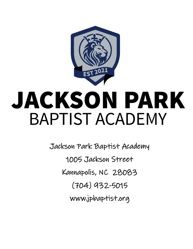

# JACKSON PARK **BAPTIST ACADEMY**

Jackson Park Baptist Academy 1005 Jackson Street Kannapolis, NC 28083 (704) 932-5015 www.jpbaptist.org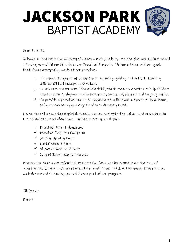# JACKSON PARK **BAPTIST ACADEMY**

#### Dear Parents,

Welcome to the Preschool Ministry of Jackson Park Academy. We are glad you are interested in having your child participate in our Preschool Program. We have three primary goals that shape everything we do at our preschool.

- 1. To share the gospel of Jesus Christ by loving, guiding and actively teaching children Biblical concepts and values.
- 2. To educate and nurture "the whole child", which means we strive to help children develop their God-given intellectual, social, emotional, physical and language skills.
- 3. To provide a preschool experience where each child in our program feels welcome, safe, appropriately challenged and unconditionally loved.

Please take the time to completely familiarize yourself with the policies and procedures in the attached Parent Handbook. In this packet you will find:

- ✓ Preschool Parent Handbook
- ✓ Preschool Registration Form
- ✓ Student Health Form
- ✓ Photo Release Form
- ✓ All About Your Child Form
- ✓ Copy of Immunization Records

Please note that a non-refundable registration fee must be turned in at the time of registration. If you have questions, please contact me and  $I$  will be happy to assist you. We look forward to having your child as a part of our program.

JR Beaver

Pastor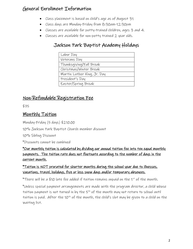# General Enrollment Information

- Class placement is based on child's age as of August 31
- Class days are Monday-Friday from 8:30am-12:30pm
- Classes are available for potty-trained children, ages 3 and 4.
- Classes are available for non-potty trained 2 year olds.

#### Jackson Park Baptist Academy Holidays

| Labor Day                   |
|-----------------------------|
| Veterans Day                |
| Thanksgiving/Fall Break     |
| Christmas/Winter Break      |
| Martin Luther King, Jr. Day |
| President's Day             |
| Easter/Spring Break         |

#### Non-Refundable Registration Fee

\$75

#### Monthly Tuition

Monday-Friday (5 days) \$210.00

10% Jackson Park Baptist Church member discount

10% Sibling Discount

\*Discounts cannot be combined

\*Our monthly tuition is calculated by dividing our annual tuition fee into ten equal monthly payments. The tuition rate does not fluctuate according to the number of days in the current month.

#### \*Tuition is NOT prorated for shorter months during the school year due to illnesses, vacations, travel, holidays, five or less snow days and/or temporary absences.

\*There will be a \$10 late fee added if tuition remains unpaid on the 1st of the month.

\*Unless special payment arrangements are made with the program director, a child whose tuition payment is not turned in by the  $5<sup>th</sup>$  of the month may not return to school until tuition is paid. After the 10<sup>th</sup> of the month, the child's slot may be given to a child on the waiting list.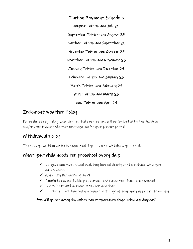#### Tuition Payment Schedule

August Tuition- due July 25 September Tuition- due August 25 October Tuition- due September 25 November Tuition- due October 25 December Tuition- due November 25 January Tuition- due December 25 February Tuition- due January 25 March Tuition- due February 25 April Tuition- due March 25 May Tuition- due April 25

#### Inclement Weather Policy

For updates regarding weather related closures you will be contacted by the Academy and/or your teacher via text message and/or your parent portal.

#### Withdrawal Policy

Thirty days written notice is requested if you plan to withdraw your child.

#### What your child needs for preschool every day:

- $\checkmark$  Large, elementary-sized book bag labeled clearly on the outside with your child's name.
- $\checkmark$  A healthy mid-morning snack
- $\checkmark$  Comfortable, washable play clothes and closed toe shoes are required
- $\checkmark$  Coats, hats and mittens in winter weather
- $\checkmark$  Labeled zip lock bag with a complete change of seasonally appropriate clothes

#### \*We will go out every day unless the temperature drops below 40 degrees\*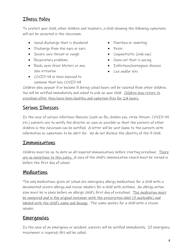# Illness Policy

To protect your child, other children and teachers, a child showing the following symptoms will not be accepted in the classroom:

- Nasal discharge that is discolored
- Discharge from the eyes or ears
- Severe sore throat or cough
- Respiratory problems
- Rash, open fever blisters or any skin irritation
- Diarrhea or vomiting
- Fever
- Conjunctivitis (pink eye)
- Open cut that is oozing
- Infectious/contagious disease
- Lice and/or nits
- COVID-19 or been exposed to someone that has COVID-19

Children who appear ill or become ill during school hours will be isolated from other children. You will be notified immediately and asked to pick up your child. Children may return to preschool after they have been healthy and symptom-free for 24 hours.

#### Serious Illnesses

In the case of serious infectious illnesses (such as flu, chicken pox, strep throat, COVID-19 etc.) parents are to notify the director as soon as possible so that the parents of other children in the classroom can be notified. A letter will be sent home to the parents with information on symptoms to be alert for. We do not disclose the identity of the ill child.

#### Immunizations

Children must be up to date on all required immunizations before starting preschool. There <u>are no exceptions to this policy. A</u> copy of the child's immunization record must be turned in before the first day of school.

#### Medications

The only medications given at school are emergency allergy medications for a child with a documented severe allergy and rescue inhalers for a child with asthma. An allergy action plan must be in place before an allergic child's first day of preschool. The medication must be unexpired and in the original container with the prescription label (if applicable) and labeled with the child's name and dosage. The same applies for a child with a rescue inhaler.

#### Emergencies

In the case of an emergency or accident, parents will be notified immediately. If emergency treatment is required, 911 will be called.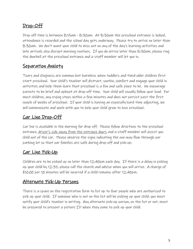# Drop-Off

Drop off time is between 8:15am - 8:30am. At 8:30am the preschool entrance is locked, attendance is recorded and the school day gets underway. Please try to arrive no later than 8:30am. We don't want your child to miss out on any of the day's learning activities and late arrivals also disrupt morning routines. If you do arrive later than 8:30am, please ring the doorbell at the preschool entrance and a staff member will let you in.

#### Separation Anxiety

Tears and clinginess are common but harmless when toddlers and timid older children first start preschool. Your child's teacher will distract, soothe, comfort and engage your child in activities and help them learn that preschool is a fun and safe place to be. We encourage parents to be brief and upbeat at drop-off time. Your child will usually follow your lead. For most children, any crying stops within a few minutes and does not persist past the first couple of weeks of preschool. If your child is having an especially hard time adjusting, we will communicate and work with you to help your child grow to love preschool.

#### Car Line Drop-Off

Car line is available in the morning for drop off. Please follow directions to the preschool entrance, <u>driver's side away from the entrance doors</u> and a staff member will assist you child out of the car. Please observe the signs indicating the one-way flow through our parking lot so that our families are safe during drop-off and pick-up.

#### Car Line Pick-Up

Children are to be picked up no later than 12:40pm each day. If there is a delay in picking up your child by 12:35, please call the church and advise when you will arrive. A charge of \$10.00 per 10 minutes will be incurred if a child remains after 12:40pm.

#### Alternate Pick-Up Persons

There is a space on the registration form to list up to four people who are authorized to pick up your child. If someone who is not on the list will be picking up your child, you must notify your child's teacher in writing. Any alternate pick-up person, on the list or not, must be prepared to present a picture ID when they come to pick up your child.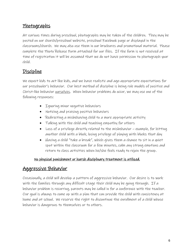#### Photographs

At various times during preschool, photographs may be taken of the children. They may be posted on our church/preschool website, preschool Facebook page or displayed in the classrooms/church. We may also use them in our brochures and promotional material. Please complete the Photo Release Form attached for our files. If the form is not received at time of registration it will be assumed that we do not have permission to photograph your child.

### Discipline

We expect kids to act like kids, and we have realistic and age-appropriate expectations for our preschooler's behavior. Our best method of discipline is being role models of positive and Christ-like behavior <u>ourselves</u>. When behavior problems do occur, we may use one of the following responses:

- Ignoring minor negative behaviors
- Noticing and praising positive behaviors
- Redirecting a misbehaving child to a more appropriate activity
- Talking with the child and teaching empathy for others
- Loss of a privilege directly related to the misbehavior example, for hitting another child with a block, losing privilege of playing with blocks that day
- Having a child "take a break", which gives them a chance to sit in a quiet spot within the classroom for a few minutes, calm any strong emotions and return to class activities when he/she feels ready to rejoin the group.

#### No physical punishment or harsh disciplinary treatment is utilized.

#### Aggressive Behavior

Occasionally, a child will develop a pattern of aggressive behavior. Our desire is to work with the families through any difficult stage their child may be going through. If a behavior problem is recurring, parents may be called in for a conference with the teacher. Our goal is always to come up with a plan that can provide the child with consistency at home and at school. We reserve the right to discontinue the enrollment of a child whose behavior is dangerous to themselves or to others.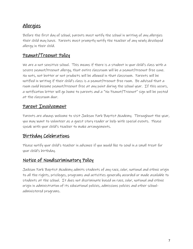#### Allergies

Before the first day of school, parents must notify the school in writing of any allergies their child may have. Parents must promptly notify the teacher of any newly developed allergy in their child.

#### Peanut/Treenut Policy

We are a nut sensitive school. This means if there is a student in your child's class with a severe peanut/treenut allergy, that entire classroom will be a peanut/treenut free zone. No nuts, nut butter or nut products will be allowed in that classroom. Parents will be notified in writing if their child's class is a peanut/treenut free room. Be advised that a room could become peanut/treenut free at any point during the school year. If this occurs, a notification letter will go home to parents and a "No Peanut/Treenut" sign will be posted at the classroom door.

#### Parent Involvement

Parents are always welcome to visit Jackson Park Baptist Academy. Throughout the year, you may want to volunteer as a guest story reader or help with special events. Please speak with your child's teacher to make arrangements.

#### Birthday Celebrations

Please notify your child's teacher in advance if you would like to send in a small treat for your child's birthday.

#### Notice of Nondiscriminatory Policy

Jackson Park Baptist Academy admits students of any race, color, national and ethnic origin to all the rights, privileges, programs and activities generally accorded or made available to students at the school. It does not discriminate based on race, color, national and ethnic origin in administration of its educational policies, admissions policies and other schooladministered programs.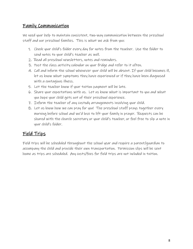#### Family Communication

We need your help to maintain consistent, two-way communication between the preschool staff and our preschool families. This is what we ask from you:

- 1. Check your child's folder every day for notes from the teacher. Use the folder to send notes to your child's teacher as well.
- 2. Read all preschool newsletters, notes and reminders.
- 3. Post the class activity calendar on your fridge and refer to it often.
- 4. Call and inform the school whenever your child will be absent. If your child becomes ill, let us know what symptoms they have experienced or if they have been diagnosed with a contagious illness.
- 5. Let the teacher know if your tuition payment will be late.
- 6. Share your expectations with us. Let us know what is important to you and what you hope your child gets out of their preschool experience.
- 7. Inform the teacher of any custody arrangements involving your child.
- 8. Let us know how we can pray for you! The preschool staff prays together every morning before school and we'd love to lift your family in prayer. Requests can be shared with the church secretary or your child's teacher, or feel free to slip a note in your child's folder.

#### Field Trips

Field trips will be scheduled throughout the school year and require a parent/guardian to accompany the child and provide their own transportation. Permission slips will be sent home as trips are scheduled. Any costs/fees for field trips are not included in tuition.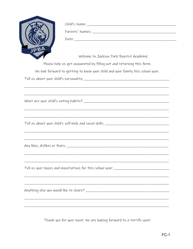|                                    | Child's r                  |
|------------------------------------|----------------------------|
|                                    | Parents                    |
|                                    | Date;                      |
|                                    |                            |
|                                    | Please help us get ac      |
|                                    | We look forward to getting |
| Tell us about your child's persona |                            |

| Child's Name: ___ |
|-------------------|
| Parents' Names:   |
| Date:             |

Welcome to Jackson Park Baptist Academy!

quainted by filling out and returning this form.

g to know your child and your family this school year.

Tell us about your child's self-help and social skills: \_\_\_\_\_\_\_\_\_\_\_\_\_\_\_\_\_\_\_\_\_\_\_\_\_

Tell us your hopes and expectations for this school year: \_\_\_\_\_\_\_\_\_\_\_\_\_\_\_\_\_\_\_\_\_\_\_

Thank you for your input. We are looking forward to a terrific year!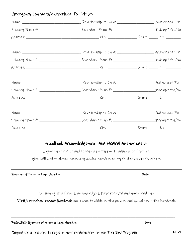#### Emergency Contacts/Authorized To Pick Up

#### Handbook Acknowledgement And Medical Authorization

I give the director and teachers permission to administer first aid,

give CPR and to obtain necessary medical services on my child or children's behalf.

Signature of Parent or Legal Guardian Date of Date Date Date

By signing this form,  $I$  acknowledge  $I$  have received and have read the

\*JPBA Preschool Parent Handbook and agree to abide by the policies and guidelines in the handbook.

\_\_\_\_\_\_\_\_\_\_\_\_\_\_\_\_\_\_\_\_\_\_\_\_\_\_\_\_\_\_\_\_\_\_\_\_\_\_\_\_\_\_\_\_\_\_\_\_\_\_\_\_\_\_\_\_\_\_\_\_\_\_\_\_\_\_\_\_\_\_\_\_\_\_\_\_\_\_\_\_\_\_\_\_\_\_\_\_\_\_\_\_\_\_\_

| REQUIRED Signature of Parent or Legal Guardian | Date |
|------------------------------------------------|------|
|------------------------------------------------|------|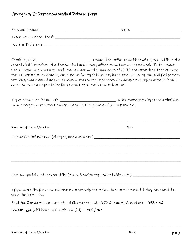#### Emergency Information/Medical Release Form

| agree to assume responsibility for payment of all medical costs incurred.   | Should my child, _____________________________, become ill or suffer an accident of any type while in the<br>care of JPBA Preschool, the director shall make every effort to contact me immediately. In the event<br>said personnel are unable to reach me, said personnel or employees of JPBA are authorized to secure any<br>medical attention, treatment, and services for my child as may be deemed necessary. Any qualified persons<br>providing such required medical attention, treatment, or services may accept this signed consent form. I |
|-----------------------------------------------------------------------------|-------------------------------------------------------------------------------------------------------------------------------------------------------------------------------------------------------------------------------------------------------------------------------------------------------------------------------------------------------------------------------------------------------------------------------------------------------------------------------------------------------------------------------------------------------|
| to an emergency treatment center, and will hold employees of JPBA harmless. | I give permission for my child, ________________________________, to be transported by car or ambulance                                                                                                                                                                                                                                                                                                                                                                                                                                               |
| Signature of Parent/Guardian                                                | Date                                                                                                                                                                                                                                                                                                                                                                                                                                                                                                                                                  |
|                                                                             |                                                                                                                                                                                                                                                                                                                                                                                                                                                                                                                                                       |
|                                                                             |                                                                                                                                                                                                                                                                                                                                                                                                                                                                                                                                                       |
|                                                                             |                                                                                                                                                                                                                                                                                                                                                                                                                                                                                                                                                       |
|                                                                             | List any special needs of your child: (fears, favorite toys, toilet habits, etc.) ______                                                                                                                                                                                                                                                                                                                                                                                                                                                              |
| please indicate below:                                                      | If you would like for us to administer non-prescription topical ointments in needed during the school day                                                                                                                                                                                                                                                                                                                                                                                                                                             |

First Aid Ointment (Neosporin Wound Cleanser for Kids, A&D Ointment, Aquaphor) YES / NO

\_\_\_\_\_\_\_\_\_\_\_\_\_\_\_\_\_\_\_\_\_\_\_\_\_\_\_\_\_\_\_\_\_\_\_\_\_\_\_\_\_\_\_\_\_\_\_\_\_\_\_\_\_\_\_\_\_\_\_\_\_\_\_\_\_\_\_\_\_\_\_\_\_\_\_\_\_\_\_\_\_\_\_\_\_\_\_\_\_\_\_\_\_\_\_

Benadryl Gel (Children's Anti-Itch Cool Gel) YES / NO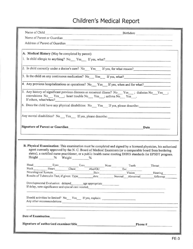# Children's Medical Report

| Name of Child                                                        | Birthdate                                                                                                                                                                                                                                                                                                                               |
|----------------------------------------------------------------------|-----------------------------------------------------------------------------------------------------------------------------------------------------------------------------------------------------------------------------------------------------------------------------------------------------------------------------------------|
|                                                                      | Name of Parent or Guardian and the contract of the contract of the contract of the contract of the contract of the contract of the contract of the contract of the contract of the contract of the contract of the contract of                                                                                                          |
|                                                                      | Address of Parent of Guardian Manuscript and Security and Security and Security and Security and Security and Security and Security and Security and Security and Security and Security and Security and Security and Security                                                                                                          |
|                                                                      |                                                                                                                                                                                                                                                                                                                                         |
| A. Medical History (May be completed by parent)                      |                                                                                                                                                                                                                                                                                                                                         |
|                                                                      | 1. Is child allergic to anything? No Yes If yes, what?                                                                                                                                                                                                                                                                                  |
|                                                                      | 2. Is child currently under a doctor's care? No Yes If yes, for what reason?                                                                                                                                                                                                                                                            |
|                                                                      |                                                                                                                                                                                                                                                                                                                                         |
|                                                                      | 3. Is the child on any continuous medication? No Yes If yes, what?                                                                                                                                                                                                                                                                      |
|                                                                      | 4. Any previous hospitalizations or operations? No <sub>w</sub> Yes ff yes, when and for what?                                                                                                                                                                                                                                          |
| If others, what/when?                                                | 5. Any history of significant previous diseases or recurrent illness? No Yes __; diabetes No Yes __;<br>convulsions No <sub>comp</sub> Yes <sub>om</sub> ; heart trouble No <sub>comp</sub> Yes <sub>om</sub> ; asthma No <sub>comp</sub> Yes <sub>oms</sub>                                                                            |
|                                                                      | 6. Does the child have any physical disabilities: No <sub>metr</sub> Yes If yes, please describe;                                                                                                                                                                                                                                       |
|                                                                      | Any mental disabilities? No <sub>ntran</sub> ty Pes <sub>ner</sub> If yes, please describe; https://www.com/entranty-organization-organization-organization-organization-organization-organization-organization-organization-organization-organizat                                                                                     |
| Signature of Parent or Guardian<br>and Culture of Parent or Guardian | Date have been also been also been also been also been also been also been also been also been also been also                                                                                                                                                                                                                           |
|                                                                      |                                                                                                                                                                                                                                                                                                                                         |
|                                                                      |                                                                                                                                                                                                                                                                                                                                         |
|                                                                      | B. Physical Examination: This examination must be completed and signed by a licensed physician, his authorized<br>agent currently approved by the N. C. Board of Medical Examiners (or a comparable board from bordering<br>states), a certified nurse practitioner, or a public health nurse meeting DHHS standards for EPSDT program. |
| Height ________% Weight ________%                                    |                                                                                                                                                                                                                                                                                                                                         |
|                                                                      |                                                                                                                                                                                                                                                                                                                                         |
| Neurological System                                                  | Head Eyes Ears Range Mose Teeth Throat<br>Neck Heart Chest Abd/GU Ext<br>Skin Vision Hearing Hearing                                                                                                                                                                                                                                    |
|                                                                      |                                                                                                                                                                                                                                                                                                                                         |
|                                                                      | If delay, note significance and special care needed;<br>experience and special care needed;                                                                                                                                                                                                                                             |
|                                                                      | <u> Andrea Anglice (1980), a componente de la componente de la componente de la componente de la componente de la</u><br>Should activities be limited? No ___ Yes ___ If yes, explain: ___________________<br>Any other recommendations:                                                                                                |
|                                                                      |                                                                                                                                                                                                                                                                                                                                         |
| Date of Examination                                                  |                                                                                                                                                                                                                                                                                                                                         |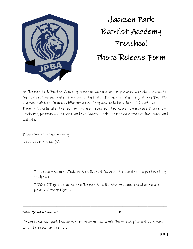

Jackson Park Baptist Academy Preschool Photo Release Form

At Jackson Park Baptist Academy Preschool we take lots of pictures! We take pictures to capture precious moments as well as to illustrate what your child is doing at preschool. We use these pictures in many different ways. They may be included in our "End of Year Program", displayed in the room or put in our classroom books. We may also use them in our brochures, promotional material and our Jackson Park Baptist Academy Facebook page and website.

\_\_\_\_\_\_\_\_\_\_\_\_\_\_\_\_\_\_\_\_\_\_\_\_\_\_\_\_\_\_\_\_\_\_\_\_\_\_\_\_\_\_\_\_\_\_\_\_\_\_\_\_\_\_\_\_\_\_\_\_\_\_\_\_\_\_\_\_\_\_\_\_\_\_\_\_\_\_\_\_\_

\_\_\_\_\_\_\_\_\_\_\_\_\_\_\_\_\_\_\_\_\_\_\_\_\_\_\_\_\_\_\_\_\_\_\_\_\_\_\_\_\_\_\_\_\_\_\_\_\_\_\_\_\_\_\_\_\_\_\_\_\_\_\_\_\_\_\_\_\_\_\_\_\_\_\_\_\_\_\_\_\_

Please complete the following:

| $Child/Children\ Name(s);$ |  |
|----------------------------|--|
|----------------------------|--|

I give permission to Jackson Park Baptist Academy Preschool to use photos of my child(ren).

I DO NOT give permission to Jackson Park Baptist Academy Preschool to use photos of my child(ren).

#### Patent/Guardian Signature Date

If you have any special concerns or restrictions you would like to add, please discuss them with the preschool director.

\_\_\_\_\_\_\_\_\_\_\_\_\_\_\_\_\_\_\_\_\_\_\_\_\_\_\_\_\_\_\_\_\_\_\_\_\_\_\_\_\_\_\_\_\_\_\_\_\_\_\_\_\_\_\_\_\_\_\_\_\_\_\_\_\_\_\_\_\_\_\_\_\_\_\_\_\_\_\_\_\_